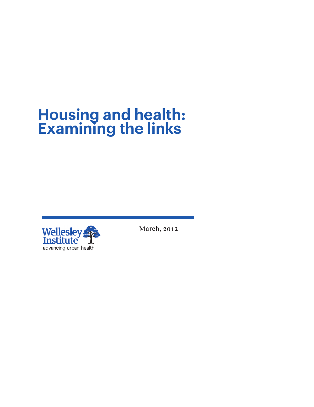# **Housing and health: Examining the links**



March, 2012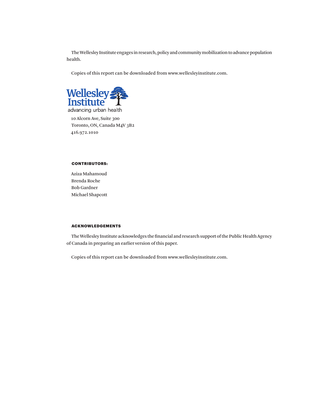The Wellesley Institute engages in research, policy and community mobilization to advance population health.

Copies of this report can be downloaded from www.wellesleyinstitute.com.



10 Alcorn Ave, Suite 300 Toronto, ON, Canada M4V 3B2 416.972.1010

# CONTRIBUTORS:

Aziza Mahamoud Brenda Roche Bob Gardner Michael Shapcott

# ACKNOWLEDGEMENTS

The Wellesley Institute acknowledges the financial and research support of the Public Health Agency of Canada in preparing an earlier version of this paper.

Copies of this report can be downloaded from www.wellesleyinstitute.com.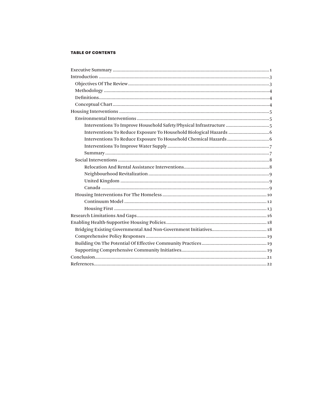# **TABLE OF CONTENTS**

| Interventions To Improve Household Safety/Physical Infrastructure  5 |
|----------------------------------------------------------------------|
| Interventions To Reduce Exposure To Household Biological Hazards     |
|                                                                      |
|                                                                      |
|                                                                      |
|                                                                      |
|                                                                      |
|                                                                      |
|                                                                      |
|                                                                      |
|                                                                      |
|                                                                      |
|                                                                      |
|                                                                      |
|                                                                      |
|                                                                      |
|                                                                      |
|                                                                      |
|                                                                      |
|                                                                      |
|                                                                      |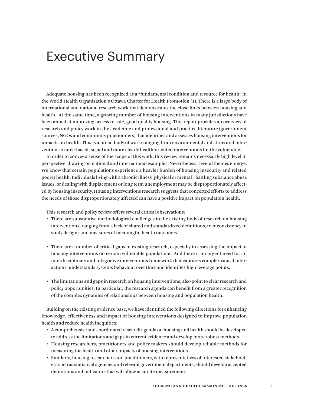# Executive Summary

Adequate housing has been recognized as a "fundamental condition and resource for health" in the World Health Organization's Ottawa Charter for Health Promotion (1). There is a large body of international and national research work that demonstrates the close links between housing and health. At the same time, a growing number of housing interventions in many jurisdictions have been aimed at improving access to safe, good quality housing. This report provides an overview of research and policy work in the academic and professional and practice literature (government sources, NGOs and community practionners) that identifies and assesses housing interventions for impacts on health. This is a broad body of work: ranging from environmental and structural interventions to area-based, social and more clearly health-oriented interventions for the vulnerable.

In order to convey a sense of the scope of this work, this review remains necessarily high level in perspective, drawing on national and international examples. Nevertheless, several themes emerge. We know that certain populations experience a heavier burden of housing insecurity and related poorer health. Individuals living with a chronic illness (physical or mental), battling substance abuse issues, or dealing with displacement or long term unemployment may be disproportionately affected by housing insecurity. Housing interventions research suggests that concerted efforts to address the needs of those disproportionately affected can have a positive impact on population health.

This research and policy review offers several critical observations:

- • There are substantive methodological challenges in the existing body of research on housing interventions, ranging from a lack of shared and standardized definitions, to inconsistency in study designs and measures of meaningful health outcomes.
- • There are a number of critical gaps in existing research, especially in assessing the impact of housing interventions on certain vulnerable populations. And there is an urgent need for an interdisciplinary and integrative interventions framework that captures complex causal interactions, understands systems behaviour over time and identifies high leverage points.
- • The limitations and gaps in research on housing interventions, also pointto clearresearch and policy opportunities. In particular, the research agenda can benefit from a greater recognition of the complex dynamics of relationships between housing and population health.

Building on the existing evidence base, we have identified the following directions for enhancing knowledge, effectiveness and impact of housing interventions designed to improve population health and reduce health inequities:

- • A comprehensive and coordinated research agenda on housing and health should be developed to address the limitations and gaps in current evidence and develop more robust methods.
- • Housing researchers, practitioners and policy makers should develop reliable methods for measuring the health and other impacts of housing interventions.
- • Similarly, housing researchers and practitioners, with representatives of interested stakeholders such as statistical agencies and relevant government departments, should develop accepted definitions and indicators that will allow accurate measurement.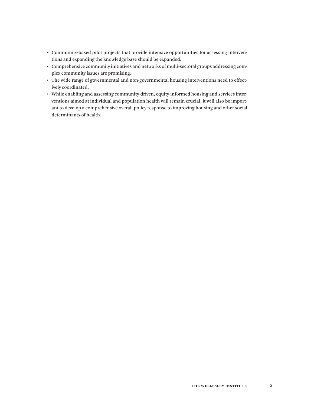- • Community-based pilot projects that provide intensive opportunities for assessing interventions and expanding the knowledge base should be expanded.
- • Comprehensive community initiatives and networks of multi-sectoral groups addressing complex community issues are promising.
- • The wide range of governmental and non-governmental housing interventions need to effectively coordinated.
- • While enabling and assessing community-driven, equity-informed housing and services interventions aimed at individual and population health will remain crucial, it will also be important to develop a comprehensive overall policy response to improving housing and other social determinants of health.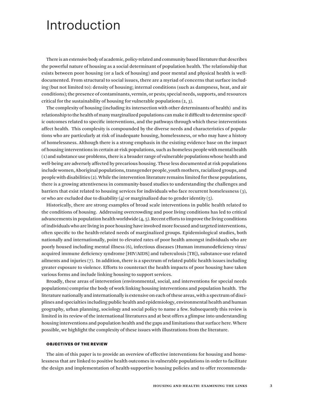# Introduction

There is an extensive body of academic, policy-related and community based literature that describes the powerful nature of housing as a social determinant of population health. The relationship that exists between poor housing (or a lack of housing) and poor mental and physical health is welldocumented. From structural to social issues, there are a myriad of concerns that surface including (but not limited to): density of housing; internal conditions (such as dampness, heat, and air conditions); the presence of contaminants, vermin, or pests; special needs, supports, and resources critical for the sustainability of housing for vulnerable populations  $(2, 3)$ .

The complexity of housing (including its intersection with other determinants of health) and its relationship to the health of many marginalized populations can make it difficult to determine specific outcomes related to specific interventions, and the pathways through which these interventions affect health. This complexity is compounded by the diverse needs and characteristics of populations who are particularly at risk of inadequate housing, homelessness, or who may have a history of homelessness. Although there is a strong emphasis in the existing evidence base on the impact of housing interventions in certain at-risk populations, such as homeless people with mental health (1) and substance use problems, there is a broader range of vulnerable populations whose health and well-being are adversely affected by precarious housing. These less documented at risk populations include women, Aboriginal populations, transgender people, youth mothers, racialized groups, and people with disabilities (2). While the intervention literature remains limited for these populations, there is a growing attentiveness in community-based studies to understanding the challenges and barriers that exist related to housing services for individuals who face recurrent homelessness (3), or who are excluded due to disability  $(4)$  or marginalized due to gender identity  $(5)$ .

Historically, there are strong examples of broad scale interventions in public health related to the conditions of housing. Addressing overcrowding and poor living conditions has led to critical advancements in population health worldwide (4, 5). Recent efforts to improve the living conditions of individuals who are living in poor housing have involved more focused and targeted interventions, often specific to the health-related needs of marginalized groups. Epidemiological studies, both nationally and internationally, point to elevated rates of poor health amongst individuals who are poorly housed including mental illness (6), infectious diseases (Human immunodeficiency virus/ acquired immune deficiency syndrome [HIV/AIDS] and tuberculosis [TB]), substance-use related ailments and injuries (7). In addition, there is a spectrum of related public health issues including greater exposure to violence. Efforts to counteract the health impacts of poor housing have taken various forms and include linking housing to support services.

Broadly, these areas of intervention (environmental, social, and interventions for special needs populations) comprise the body of work linking housing interventions and population health. The literature nationally and internationally is extensive on each of these areas, with a spectrum of disciplines and specialties including public health and epidemiology, environmental health and human geography, urban planning, sociology and social policy to name a few. Subsequently this review is limited in its review of the international literatures and at best offers a glimpse into understanding housing interventions and population health and the gaps and limitations that surface here. Where possible, we highlight the complexity of these issues with illustrations from the literature.

### OBJECTIVES OF THE REVIEW

The aim of this paper is to provide an overview of effective interventions for housing and homelessness that are linked to positive health outcomes in vulnerable populations in order to facilitate the design and implementation of health-supportive housing policies and to offer recommenda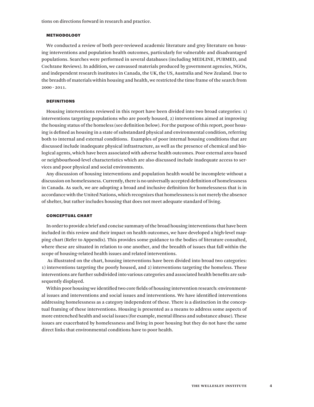tions on directions forward in research and practice.

#### METHODOLOGY

We conducted a review of both peer-reviewed academic literature and grey literature on housing interventions and population health outcomes, particularly for vulnerable and disadvantaged populations. Searches were performed in several databases (including MEDLINE, PUBMED, and Cochrane Reviews). In addition, we canvassed materials produced by government agencies, NGOs, and independent research institutes in Canada, the UK, the US, Australia and New Zealand. Due to the breadth of materials within housing and health, we restricted the time frame of the search from 2000 - 2011.

### DEFINITIONS

Housing interventions reviewed in this report have been divided into two broad categories: 1) interventions targeting populations who are poorly housed, 2) interventions aimed at improving the housing status of the homeless (see definition below). For the purpose of this report, poor housing is defined as housing in a state of substandard physical and environmental condition, referring both to internal and external conditions. Examples of poor internal housing conditions that are discussed include inadequate physical infrastructure, as well as the presence of chemical and biological agents, which have been associated with adverse health outcomes. Poor external area-based or neighbourhood-level characteristics which are also discussed include inadequate access to services and poor physical and social environments.

Any discussion of housing interventions and population health would be incomplete without a discussion on homelessness. Currently, there is no universally accepted definition of homelessness in Canada. As such, we are adopting a broad and inclusive definition for homelessness that is in accordance with the United Nations, which recognizes that homelessness is not merely the absence of shelter, but rather includes housing that does not meet adequate standard of living.

### CONCEPTUAL CHART

In order to provide a brief and concise summary of the broad housing interventions that have been included in this review and their impact on health outcomes, we have developed a high-level mapping chart (Refer to Appendix). This provides some guidance to the bodies of literature consulted, where these are situated in relation to one another, and the breadth of issues that fall within the scope of housing-related health issues and related interventions.

 As illustrated on the chart, housing interventions have been divided into broad two categories: 1) interventions targeting the poorly housed, and 2) interventions targeting the homeless. These interventions are further subdivided into various categories and associated health benefits are subsequently displayed.

Within poor housing we identified two core fields of housing intervention research: environmental issues and interventions and social issues and interventions. We have identified interventions addressing homelessness as a category independent of these. There is a distinction in the conceptual framing of these interventions. Housing is presented as a means to address some aspects of more entrenched health and social issues (for example, mental illness and substance abuse). These issues are exacerbated by homelessness and living in poor housing but they do not have the same direct links that environmental conditions have to poor health.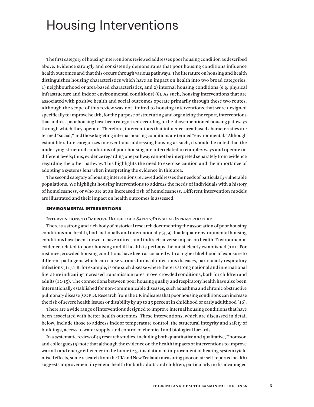# Housing Interventions

The first category of housing interventions reviewed addresses poor housing condition as described above. Evidence strongly and consistently demonstrates that poor housing conditions influence health outcomes and that this occurs through various pathways. The literature on housing and health distinguishes housing characteristics which have an impact on health into two broad categories: 1) neighbourhood or area-based characteristics, and 2) internal housing conditions (e.g. physical infrastructure and indoor environmental conditions) (8). As such, housing interventions that are associated with positive health and social outcomes operate primarily through these two routes. Although the scope of this review was not limited to housing interventions that were designed specifically to improve health, for the purpose of structuring and organizing the report, interventions that address poor housing have been categorized according to the above-mentioned housing pathways through which they operate. Therefore, interventions that influence area-based characteristics are termed "social," and those targeting internal housing conditions are termed "environmental." Although extant literature categorizes interventions addressing housing as such, it should be noted that the underlying structural conditions of poor housing are interrelated in complex ways and operate on different levels; thus, evidence regarding one pathway cannot be interpreted separately from evidence regarding the other pathway. This highlights the need to exercise caution and the importance of adopting a systems lens when interpreting the evidence in this area.

The second category of housing interventions reviewed addresses the needs of particularly vulnerable populations. We highlight housing interventions to address the needs of individuals with a history of homelessness, or who are at an increased risk of homelessness. Different intervention models are illustrated and their impact on health outcomes is assessed.

### ENVIRONMENTAL INTERVENTIONS

Interventions to Improve Household Safety/Physical Infrastructure

There is a strong and rich body of historical research documenting the association of poor housing conditions and health, both nationally and internationally  $(4, 9)$ . Inadequate environmental housing conditions have been known to have a direct -and indirect- adverse impact on health. Environmental evidence related to poor housing and ill health is perhaps the most clearly established (10). For instance, crowded housing conditions have been associated with a higher likelihood of exposure to different pathogens which can cause various forms of infectious diseases, particularly respiratory infections (11). TB, for example, is one such disease where there is strong national and international literature indicating increased transmission rates in overcrowded conditions, both for children and adults (12-15). The connections between poor housing quality and respiratory health have also been internationally established for non-communicable diseases, such as asthma and chronic obstructive pulmonary disease (COPD). Research from the UK indicates that poor housing conditions can increase the risk of severe health issues or disability by up to  $25$  percent in childhood or early adulthood (16).

There are a wide range of interventions designed to improve internal housing conditions that have been associated with better health outcomes. These interventions, which are discussed in detail below, include those to address indoor temperature control, the structural integrity and safety of buildings, access to water supply, and control of chemical and biological hazards.

In a systematic review of 45 research studies, including both quantitative and qualitative, Thomson and colleagues (5) note that although the evidence on the health impacts of interventions to improve warmth and energy efficiency in the home (e.g. insulation or improvement of heating system) yield mixed effects, some research from the UK and New Zealand (measuring poor or fair self-reported health) suggests improvement in general health for both adults and children, particularly in disadvantaged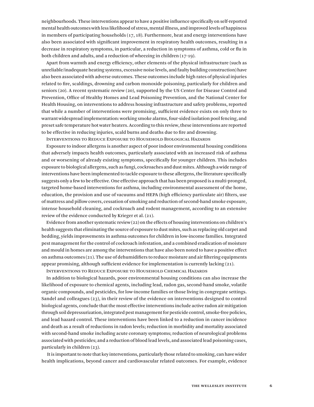neighbourhoods. These interventions appear to have a positive influence specifically on self-reported mental health outcomes with less likelihood of stress, mental illness, and improved levels of happiness in members of participating households (17, 18). Furthermore, heat and energy interventions have also been associated with significant improvement in respiratory health outcomes, resulting in a decrease in respiratory symptoms, in particular, a reduction in symptoms of asthma, cold or flu in both children and adults, and a reduction of wheezing in children (17-19).

Apart from warmth and energy efficiency, other elements of the physical infrastructure (such as unreliable/inadequate heating systems, excessive noise levels, and faulty building construction) have also been associated with adverse outcomes. These outcomes include high rates of physical injuries related to fire, scaldings, drowning and carbon monoxide poisoning, particularly for children and seniors (20). A recent systematic review (20), supported by the US Center for Disease Control and Prevention, Office of Healthy Homes and Lead Poisoning Prevention, and the National Center for Health Housing, on interventions to address housing infrastructure and safety problems, reported that while a number of interventions were promising, sufficient evidence exists on only three to warrant widespread implementation: working smoke alarms, four-sided isolation pool fencing, and preset safe temperature hot water heaters. According to this review, these interventions are reported to be effective in reducing injuries, scald burns and deaths due to fire and drowning.

Interventions to Reduce Exposure to Household Biological Hazards

Exposure to indoor allergens is another aspect of poor indoor environmental housing conditions that adversely impacts health outcomes, particularly associated with an increased risk of asthma and or worsening of already existing symptoms, specifically for younger children. This includes exposure to biological allergens, such as fungi, cockroaches and dust mites. Although a wide range of interventions have been implemented to tackle exposure to these allergens, the literature specifically suggests only a few to be effective. One effective approach that has been proposed is a multi-pronged, targeted home-based interventions for asthma, including environmental assessment of the home, education, the provision and use of vacuums and HEPA (high efficiency particulate air) filters, use of mattress and pillow covers, cessation of smoking and reduction of second-hand smoke exposure, intense household cleaning, and cockroach and rodent management, according to an extensive review of the evidence conducted by Krieger et al. (21).

Evidence from another systematic review (22) on the effects of housing interventions on children's health suggests that eliminating the source of exposure to dust mites, such as replacing old carpet and bedding, yields improvements in asthma outcomes for children in low-income families. Integrated pest management for the control of cockroach infestation, and a combined eradication of moisture and mould in homes are among the interventions that have also been noted to have a positive effect on asthma outcomes  $(21)$ . The use of dehumidifiers to reduce moisture and air filtering equipments appear promising, although sufficient evidence for implementation is currently lacking (21).

Interventions to Reduce Exposure to Household Chemical Hazards

In addition to biological hazards, poor environmental housing conditions can also increase the likelihood of exposure to chemical agents, including lead, radon gas, second-hand smoke, volatile organic compounds, and pesticides, for low-income families or those living in congregate settings. Sandel and colleagues (23), in their review of the evidence on interventions designed to control biological agents, conclude that the most effective interventions include active radon air mitigation through soil depressurization, integrated pest management for pesticide control, smoke-free policies, and lead hazard control. These interventions have been linked to a reduction in cancer incidence and death as a result of reductions in radon levels; reduction in morbidity and mortality associated with second-hand smoke including acute coronary symptoms; reduction of neurological problems associated with pesticides; and a reduction of blood lead levels, and associated lead poisoning cases, particularly in children (23).

 It is important to note that key interventions, particularly those related to smoking, can have wider health implications, beyond cancer and cardiovascular related outcomes. For example, evidence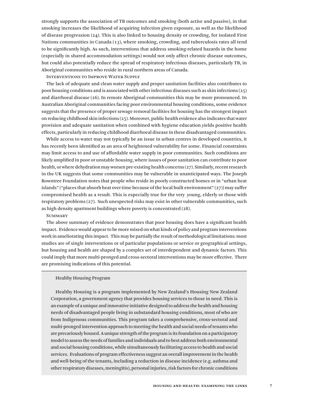strongly supports the association of TB outcomes and smoking (both active and passive), in that smoking increases the likelihood of acquiring infection given exposure, as well as the likelihood of disease progression  $(24)$ . This is also linked to housing density or crowding, for isolated First Nations communities in Canada (13), where smoking, crowding, and tuberculosis rates all tend to be significantly high. As such, interventions that address smoking-related hazards in the home (especially in shared accommodation settings) would not only affect chronic disease outcomes, but could also potentially reduce the spread of respiratory infectious diseases, particularly TB, in Aboriginal communities who reside in rural northern areas of Canada.

Interventions to Improve Water Supply

The lack of adequate and clean water supply and proper sanitation facilities also contributes to poor housing conditions and is associated with other infectious diseases such as skin infections (25) and diarrhoeal disease (26). In remote Aboriginal communities this may be more pronounced. In Australian Aboriginal communities facing poor environmental housing conditions, some evidence suggests that the presence of proper sewage removal facilities for housing has the strongest impact on reducing childhood skin infections (25). Moreover, public health evidence also indicates that water provision and adequate sanitation when combined with hygiene education yields positive health effects, particularly in reducing childhood diarrhoeal disease in these disadvantaged communities.

While access to water may not typically be an issue in urban centres in developed countries, it has recently been identified as an area of heightened vulnerability for some. Financial constraints may limit access to and use of affordable water supply in poor communities. Such conditions are likely amplified in poor or unstable housing, where issues of poor sanitation can contribute to poor health, or where dehydration may worsen pre-existing health concerns (27). Similarly, recent research in the UK suggests that some communities may be vulnerable in unanticipated ways. The Joseph Rowntree Foundation notes that people who reside in poorly constructed homes or in "urban heat islands" ("places that absorb heat over time because of the local built environment" (27)) may suffer compromised health as a result. This is especially true for the very young, elderly or those with respiratory problems (27). Such unexpected risks may exist in other vulnerable communities, such as high density apartment buildings where poverty is concentrated (28).

## **SUMMARY**

The above summary of evidence demonstrates that poor housing does have a significant health impact. Evidence would appear to be more mixed on what kinds of policy and program interventions work in ameliorating this impact. This may be partially the result of methodological limitations: most studies are of single interventions or of particular populations or service or geographical settings, but housing and health are shaped by a complex set of interdependent and dynamic factors. This could imply that more multi-pronged and cross-sectoral interventions may be more effective. There are promising indications of this potential.

#### Healthy Housing Program

Healthy Housing is a program implemented by New Zealand's Housing New Zealand Corporation, a government agency that provides housing services to those in need. This is an example of a unique and innovative initiative designed to address the health and housing needs of disadvantaged people living in substandard housing conditions, most of who are from Indigenous communities. This program takes a comprehensive, cross-sectoral and multi-pronged intervention approach to meeting the health and social needs of tenants who are precariously housed. A unique strength of the program is its foundation on a participatory model to assess the needs of families and individuals and to best address both environmental and social housing conditions, while simultaneously facilitating access to health and social services. Evaluations of program effectiveness suggest an overall improvement in the health and well-being of the tenants, including a reduction in disease incidence (e.g. asthma and other respiratory diseases, meningitis), personal injuries, risk factors for chronic conditions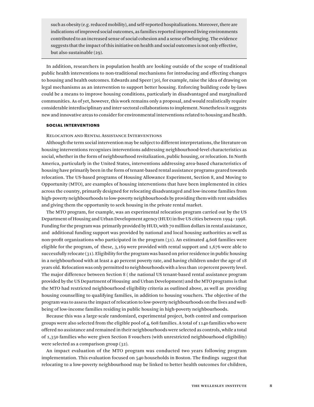such as obesity (e.g. reduced mobility), and self-reported hospitalizations. Moreover, there are indications of improved social outcomes, as families reported improved living environments contributed to an increased sense of social cohesion and a sense of belonging. The evidence suggests that the impact of this initiative on health and social outcomes is not only effective, but also sustainable (29).

In addition, researchers in population health are looking outside of the scope of traditional public health interventions to non-traditional mechanisms for introducing and effecting changes to housing and health outcomes. Edwards and Speer (30), for example, raise the idea of drawing on legal mechanisms as an intervention to support better housing. Enforcing building code by-laws could be a means to improve housing conditions, particularly in disadvantaged and marginalized communities. As of yet, however, this work remains only a proposal, and would realistically require considerable interdisciplinary and inter-sectoral collaborations to implement. Nonetheless it suggests new and innovative areas to consider for environmental interventions related to housing and health.

### SOCIAL INTERVENTIONS

Relocation and Rental Assistance Interventions

Although the term social intervention may be subject to different interpretations, the literature on housing interventions recognizes interventions addressing neighbourhood-level characteristics as social, whether in the form of neighbourhood revitalization, public housing, or relocation. In North America, particularly in the United States, interventions addressing area-based characteristics of housing have primarily been in the form of tenant-based rental assistance programs geared towards relocation. The US-based programs of Housing Allowance Experiment, Section 8, and Moving to Opportunity (MTO), are examples of housing interventions that have been implemented in cities across the country, primarily designed for relocating disadvantaged and low-income families from high-poverty neighbourhoods to low-poverty neighbourhoods by providing them with rent subsidies and giving them the opportunity to seek housing in the private rental market.

The MTO program, for example, was an experimental relocation program carried out by the US Department of Housing and Urban Development agency (HUD) in five US cities between 1994 - 1998. Funding for the program was primarily provided by HUD, with 70 million dollars in rental assistance, and additional funding support was provided by national and local housing authorities as well as non-profit organizations who participated in the program (31). An estimated 4,608 families were eligible for the program, of these, 3,169 were provided with rental support and 1,676 were able to successfully relocate (31). Eligibility for the program was based on prior residence in public housing in a neighbourhood with at least a 40 percent poverty rate, and having children under the age of 18 years old. Relocation was only permitted to neighbourhoods with a less than 10 percent poverty level. The major difference between Section 8 ( the national US tenant-based rental assistance program provided by the US Department of Housing and Urban Development) and the MTO programs is that the MTO had restricted neighbourhood eligibility criteria as outlined above, as well as providing housing counselling to qualifying families, in addition to housing vouchers. The objective of the program was to assess the impact of relocation to low-poverty neighbourhoods on the lives and wellbeing of low-income families residing in public housing in high-poverty neighbourhoods.

Because this was a large-scale randomized, experimental project, both control and comparison groups were also selected from the eligible pool of 4, 608 families. A total of 1140 families who were offered no assistance and remained in their neighbourhoods were selected as controls, while a total of 1,350 families who were given Section 8 vouchers (with unrestricted neighbourhood eligibility) were selected as a comparison group (32).

An impact evaluation of the MTO program was conducted two years following program implementation. This evaluation focused on 540 households in Boston. The findings suggest that relocating to a low-poverty neighbourhood may be linked to better health outcomes for children,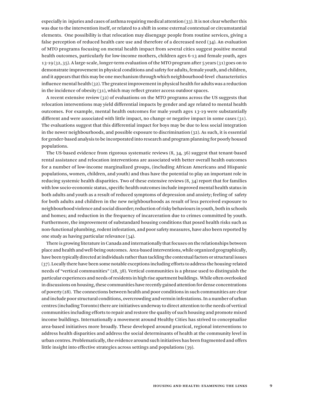especially in injuries and cases of asthma requiring medical attention (33). It is not clear whether this was due to the intervention itself, or related to a shift in some external contextual or circumstantial elements. One possibility is that relocation may disengage people from routine services, giving a false perception of reduced health care use and therefore of a decreased need (34). An evaluation of MTO programs focusing on mental health impact from several cities suggest positive mental health outcomes, particularly for low-income mothers, children ages 6-13 and female youth, ages 13-19 (32, 35). A large-scale, longer-term evaluation of the MTO program after 5 years (31) goes on to demonstrate improvement in physical conditions and safety for adults, female youth, and children, and it appears that this may be one mechanism through which neighbourhood-level characteristics influence mental health  $(32)$ . The greatest improvement in physical health for adults was a reduction in the incidence of obesity (31), which may reflect greater access outdoor spaces.

A recent extensive review (32) of evaluations on the MTO programs across the US suggests that relocation interventions may yield differential impacts by gender and age related to mental health outcomes. For example, mental health outcomes for male youth ages 13-19 were substantially different and were associated with little impact, no change or negative impact in some cases (31). The evaluations suggest that this differential impact for boys may be due to less social integration in the newer neighbourhoods, and possible exposure to discrimination (32). As such, it is essential for gender-based analysis to be incorporated into research and program planning for poorly housed populations.

The US-based evidence from rigorous systematic reviews (8, 34, 36) suggest that tenant-based rental assistance and relocation interventions are associated with better overall health outcomes for a number of low-income marginalized groups, (including African Americans and Hispanic populations, women, children, and youth) and thus have the potential to play an important role in reducing systemic health disparities. Two of these extensive reviews (8, 34) report that for families with low socio-economic status, specific health outcomes include improved mental health status in both adults and youth as a result of reduced symptoms of depression and anxiety; feeling of safety for both adults and children in the new neighbourhoods as result of less perceived exposure to neighbourhood violence and social disorder; reduction of risky behaviours in youth, both in schools and homes; and reduction in the frequency of incarceration due to crimes committed by youth. Furthermore, the improvement of substandard housing conditions that posed health risks such as non-functional plumbing, rodent infestation, and poor safety measures, have also been reported by one study as having particular relevance (34).

There is growing literature in Canada and internationally that focuses on the relationships between place and health and well-being outcomes. Area-based interventions, while organized geographically, have been typically directed at individuals rather than tackling the contextual factors or structural issues (37). Locally there have been some notable exceptions including efforts to address the housing-related needs of "vertical communities" (28, 38). Vertical communities is a phrase used to distinguish the particular experiences and needs of residents in high rise apartment buildings. While often overlooked in discussions on housing, these communities have recently gained attention for dense concentrations of poverty  $(28)$ . The connections between health and poor conditions in such communities are clear and include poor structural conditions, overcrowding and vermin infestations. In a number of urban centres (including Toronto) there are initiatives underway to direct attention to the needs of vertical communities including efforts to repair and restore the quality of such housing and promote mixed income buildings. Internationally a movement around Healthy Cities has strived to conceptualize area-based initiatives more broadly. These developed around practical, regional interventions to address health disparities and address the social determinants of health at the community level in urban centres. Problematically, the evidence around such initiatives has been fragmented and offers little insight into effective strategies across settings and populations (39).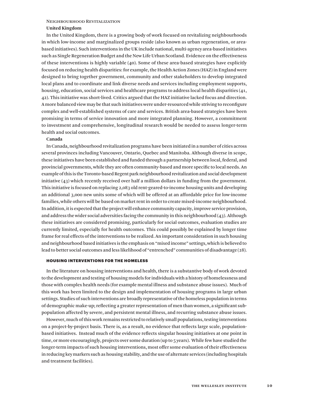#### Neighbourhood Revitalization

# **United Kingdom**

In the United Kingdom, there is a growing body of work focused on revitalizing neighbourhoods in which low-income and marginalized groups reside (also known as urban regeneration, or areabased initiatives). Such interventions in the UK include national, multi-agency area-based initiatives such as Single Regeneration Budget and the New Life Urban Scotland. Evidence on the effectiveness of these interventions is highly variable (40). Some of these area-based strategies have explicitly focused on reducing health disparities: for example, the Health Action Zones (HAZ) in England were designed to bring together government, community and other stakeholders to develop integrated local plans and to coordinate and link diverse needs and services including employment supports, housing, education, social services and healthcare programs to address local health disparities (41, 42). This initiative was short-lived. Critics argued that the HAZ initiative lacked focus and direction. A more balanced view may be that such initiatives were under-resourced while striving to reconfigure complex and well-established systems of care and services. British area-based strategies have been promising in terms of service innovation and more integrated planning. However, a commitment to investment and comprehensive, longitudinal research would be needed to assess longer-term health and social outcomes.

# **Canada**

In Canada, neighbourhood revitalization programs have been initiated in a number of cities across several provinces including Vancouver, Ontario, Quebec and Manitoba. Although diverse in scope, these initiatives have been established and funded through a partnership between local, federal, and provincial governments, while they are often community-based and more specific to local needs. An example of this is the Toronto-based Regent park neighbourhood revitalization and social development initiative (43) which recently received over half a million dollars in funding from the government. This initiative is focused on replacing 2,083 old rent-geared-to-income housing units and developing an additional 3,000 new units some of which will be offered at an affordable price for low-income families, while others will be based on market rent in order to create mixed-income neighbourhood. In addition, it is expected that the project will enhance community capacity, improve service provision, and address the wider social adversities facing the community in this neighbourhood (43). Although these initiatives are considered promising, particularly for social outcomes, evaluation studies are currently limited, especially for health outcomes. This could possibly be explained by longer time frame for real effects of the interventions to be realized. An important consideration in such housing and neighbourhood based initiatives is the emphasis on "mixed income" settings, which is believed to lead to better social outcomes and less likelihood of "entrenched" communities of disadvantage (28).

## HOUSING INTERVENTIONS FOR THE HOMELESS

In the literature on housing interventions and health, there is a substantive body of work devoted to the development and testing of housing models for individuals with a history of homelessness and those with complex health needs (for example mental illness and substance abuse issues). Much of this work has been limited to the design and implementation of housing programs in large urban settings. Studies of such interventions are broadly representative of the homeless population in terms of demographic make-up; reflecting a greater representation of men than women, a significant subpopulation affected by severe, and persistent mental illness, and recurring substance abuse issues.

However, much of this work remains restricted to relatively small populations, testing interventions on a project-by-project basis. There is, as a result, no evidence that reflects large scale, populationbased initiatives. Instead much of the evidence reflects singular housing initiatives at one point in time, or more encouragingly, projects over some duration (up to 5 years). While few have studied the longer-term impacts of such housing interventions, most offer some evaluation of their effectiveness in reducing key markers such as housing stability, and the use of alternate services (including hospitals and treatment facilities).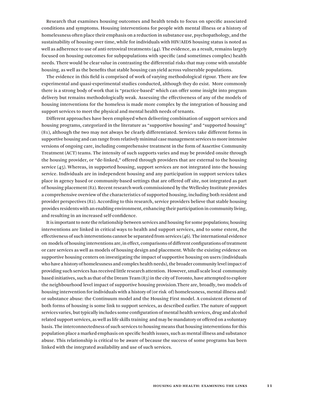Research that examines housing outcomes and health tends to focus on specific associated conditions and symptoms. Housing interventions for people with mental illness or a history of homelessness often place their emphasis on a reduction in substance use, psychopathology, and the sustainability of housing over time, while for individuals with HIV/AIDS housing status is noted as well as adherence to use of anti-retroviral treatments (44). The evidence, as a result, remains largely focused on housing outcomes for subpopulations with specific (and sometimes complex) health needs. There would be clear value in contrasting the differential risks that may come with unstable housing, as well as the benefits that stable housing can yield across vulnerable populations.

The evidence in this field is comprised of work of varying methodological rigour. There are few experimental and quasi-experimental studies conducted, although they do exist. More commonly there is a strong body of work that is "practice-based" which can offer some insight into program delivery but remains methodologically weak. Assessing the effectiveness of any of the models of housing interventions for the homeless is made more complex by the integration of housing and support services to meet the physical and mental health needs of tenants.

Different approaches have been employed when delivering combination of support services and housing programs, categorized in the literature as "supportive housing" and "supported housing" (81), although the two may not always be clearly differentiated. Services take different forms in supportive housing and can range from relatively minimal case management services to more intensive versions of ongoing care, including comprehensive treatment in the form of Assertive Community Treatment (ACT) teams. The intensity of such supports varies and may be provided onsite through the housing provider, or "de-linked," offered through providers that are external to the housing service (45). Whereas, in supported housing, support services are not integrated into the housing service. Individuals are in independent housing and any participation in support services takes place in agency based or community-based settings that are offered off site, not integrated as part of housing placement (82). Recent research work commissioned by the Wellesley Institute provides a comprehensive overview of the characteristics of supported housing, including both resident and provider perspectives (82). According to this research, service providers believe that stable housing provides residents with an enabling environment, enhancing their participation in community living, and resulting in an increased self-confidence.

It is important to note the relationship between services and housing for some populations; housing interventions are linked in critical ways to health and support services, and to some extent, the effectiveness of such interventions cannot be separated from services (46). The international evidence on models of housing interventions are, in effect, comparisons of different configurations of treatment or care services as well as models of housing design and placement. While the existing evidence on supportive housing centers on investigating the impact of supportive housing on users (individuals who have a history of homelessness and complex health needs), the broader community level impact of providing such services has received little research attention. However, small scale local community based initiatives, such as that of the Dream Team (83) in the city of Toronto, have attempted to explore the neighbourhood level impact of supportive housing provision.There are, broadly, two models of housing intervention for individuals with a history of (or risk of) homelessness, mental illness and/ or substance abuse: the Continuum model and the Housing First model. A consistent element of both forms of housing is some link to support services, as described earlier. The nature of support services varies, but typically includes some configuration of mental health services, drug and alcohol related support services, as well as life skills training and may be mandatory or offered on a voluntary basis. The interconnectedness of such services to housing means that housing interventions for this population place a marked emphasis on specific health issues, such as mental illness and substance abuse. This relationship is critical to be aware of because the success of some programs has been linked with the integrated availability and use of such services.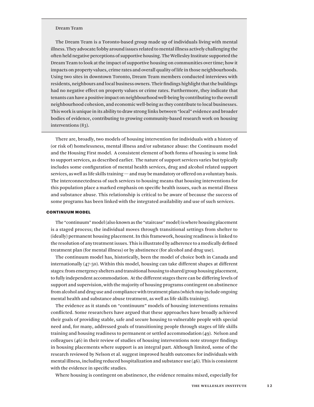#### Dream Team

The Dream Team is a Toronto-based group made up of individuals living with mental illness. They advocate/lobby around issues related to mental illness actively challenging the often held negative perceptions of supportive housing. The Wellesley Institute supported the Dream Team to look at the impact of supportive housing on communities over time; how it impacts on property values, crime rates and overall quality of life in those neighbourhoods. Using two sites in downtown Toronto, Dream Team members conducted interviews with residents, neighbours and local business owners. Their findings highlight that the buildings had no negative effect on property values or crime rates. Furthermore, they indicate that tenants can have a positive impact on neighbourhood well-being by contributing to the overall neighbourhood cohesion, and economic well-being as they contribute to local businesses. This work is unique in its ability to draw strong links between "local" evidence and broader bodies of evidence, contributing to growing community-based research work on housing interventions (83).

There are, broadly, two models of housing intervention for individuals with a history of (or risk of) homelessness, mental illness and/or substance abuse: the Continuum model and the Housing First model. A consistent element of both forms of housing is some link to support services, as described earlier. The nature of support services varies but typically includes some configuration of mental health services, drug and alcohol related support services, as well as life skills training — and may be mandatory or offered on a voluntary basis. The interconnectedness of such services to housing means that housing interventions for this population place a marked emphasis on specific health issues, such as mental illness and substance abuse. This relationship is critical to be aware of because the success of some programs has been linked with the integrated availability and use of such services.

### CONTINUUM MODEL

The "continuum" model (also known as the "staircase" model) is where housing placement is a staged process; the individual moves through transitional settings from shelter to (ideally) permanent housing placement. In this framework, housing readiness is linked to the resolution of any treatment issues. This is illustrated by adherence to a medically defined treatment plan (for mental illness) or by abstinence (for alcohol and drug use).

The continuum model has, historically, been the model of choice both in Canada and internationally (47-50). Within this model, housing can take different shapes at different stages: from emergency shelters and transitional housing to shared/group housing placement, to fully independent accommodation. At the different stages there can be differing levels of support and supervision, with the majority of housing programs contingent on abstinence from alcohol and drug use and compliance with treatment plans (which may include ongoing mental health and substance abuse treatment, as well as life skills training).

The evidence as it stands on "continuum" models of housing interventions remains conflicted. Some researchers have argued that these approaches have broadly achieved their goals of providing stable, safe and secure housing to vulnerable people with special need and, for many, addressed goals of transitioning people through stages of life skills training and housing readiness to permanent or settled accommodation (49). Nelson and colleagues (46) in their review of studies of housing interventions note stronger findings in housing placements where support is an integral part. Although limited, some of the research reviewed by Nelson et al. suggest improved health outcomes for individuals with mental illness, including reduced hospitalization and substance use (46). This is consistent with the evidence in specific studies.

Where housing is contingent on abstinence, the evidence remains mixed, especially for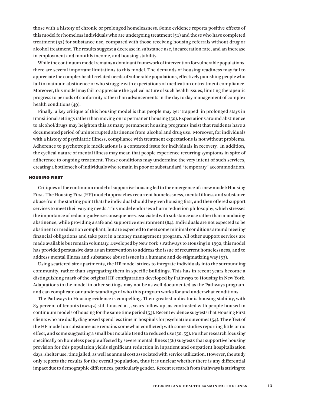those with a history of chronic or prolonged homelessness. Some evidence reports positive effects of this model for homeless individuals who are undergoing treatment (51) and those who have completed treatment (52) for substance use, compared with those receiving housing referrals without drug or alcohol treatment. The results suggest a decrease in substance use, incarceration rate, and an increase in employment and monthly income, and housing stability.

While the continuum model remains a dominant framework of intervention for vulnerable populations, there are several important limitations to this model. The demands of housing readiness may fail to appreciate the complex health-related needs of vulnerable populations, effectively punishing people who fail to maintain abstinence or who struggle with expectations of medication or treatment compliance. Moreover, this model may fail to appreciate the cyclical nature of such health issues, limiting therapeutic progress to periods of conformity rather than advancements in the day to day management of complex health conditions (49).

Finally, a key critique of this housing model is that people may get 'trapped' in prolonged stays in transitional settings rather than moving on to permanent housing (50). Expectations around abstinence to alcohol/drugs may heighten this as many permanent housing programs insist that residents have a documented period of uninterrupted abstinence from alcohol and drug use. Moreover, for individuals with a history of psychiatric illness, compliance with treatment expectations is not without problems. Adherence to psychotropic medications is a contested issue for individuals in recovery. In addition, the cyclical nature of mental illness may mean that people experience recurring symptoms in spite of adherence to ongoing treatment. These conditions may undermine the very intent of such services, creating a bottleneck of individuals who remain in poor or substandard "temporary" accommodation.

### HOUSING FIRST

Critiques of the continuum model of supportive housing led to the emergence of a new model: Housing First. The Housing First (HF) model approaches recurrent homelessness, mental illness and substance abuse from the starting point that the individual should be given housing first, and then offered support services to meet their varying needs. This model endorses a harm reduction philosophy, which stresses the importance of reducing adverse consequences associated with substance use rather than mandating abstinence, while providing a safe and supportive environment (84). Individuals are not expected to be abstinent or medication compliant, but are expected to meet some minimal conditions around meeting financial obligations and take part in a money management program. All other support services are made available but remain voluntary. Developed by New York's Pathways to Housing in 1992, this model has provided persuasive data as an intervention to address the issue of recurrent homelessness, and to address mental illness and substance abuse issues in a humane and de-stigmatizing way (53).

Using scattered site apartments, the HF model strives to integrate individuals into the surrounding community, rather than segregating them in specific buildings. This has in recent years become a distinguishing mark of the original HF configuration developed by Pathways to Housing in New York. Adaptations to the model in other settings may not be as well-documented as the Pathways program, and can complicate our understandings of who this program works for and under what conditions.

The Pathways to Housing evidence is compelling. Their greatest indicator is housing stability, with 85 percent of tenants ( $n=242$ ) still housed at 5 years follow up, as contrasted with people housed in continuum models of housing for the same time period (53). Recent evidence suggests that Housing First clients who are dually diagnosed spend less time in hospitals for psychiatric outcomes (54). The effect of the HF model on substance use remains somewhat conflicted; with some studies reporting little or no effect, and some suggesting a small but notable trend to reduced use (50, 55). Further research focusing specifically on homeless people affected by severe mental illness (56) suggests that supportive housing provision for this population yields significant reduction in inpatient and outpatient hospitalization days, shelter use, time jailed, as well as annual cost associated with service utilization. However, the study only reports the results for the overall population, thus it is unclear whether there is any differential impact due to demographic differences, particularly gender. Recent research from Pathways is striving to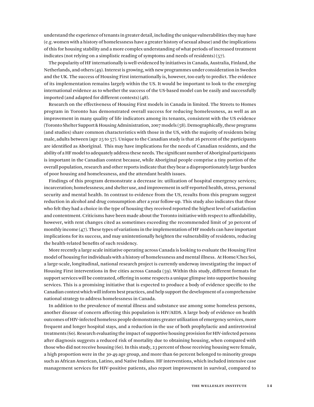understand the experience of tenants in greater detail, including the unique vulnerabilities they may have (e.g. women with a history of homelessness have a greater history of sexual abuse) and the implications of this for housing stability and a more complex understanding of what periods of increased treatment indicates (not relying on a simplistic reading of symptoms and needs of residents) (57).

The popularity of HF internationally is well-evidenced by initiatives in Canada, Australia, Finland, the Netherlands, and others (49). Interest is growing, with new programmes under consideration in Sweden and the UK. The success of Housing First internationally is, however, too early to predict. The evidence of its implementation remains largely within the US. It would be important to look to the emerging international evidence as to whether the success of the US-based model can be easily and successfully imported (and adapted for different contexts) (48).

Research on the effectiveness of Housing First models in Canada in limited. The Streets to Homes program in Toronto has demonstrated overall success for reducing homelessness, as well as an improvement in many quality of life indicators among its tenants, consistent with the US evidence (Toronto Shelter Support & Housing Administration, 2007 models (58). Demographically, these programs (and studies) share common characteristics with those in the US, with the majority of residents being male, adults between (age 25 to 57). Unique to the Canadian study is that 26 percent of the participants are identified as Aboriginal. This may have implications for the needs of Canadian residents, and the ability of a HF model to adequately address these needs. The significant number of Aboriginal participants is important in the Canadian context because, while Aboriginal people comprise a tiny portion of the overall population, research and other reports indicate that they bear a disproportionately large burden of poor housing and homelessness, and the attendant health issues.

Findings of this program demonstrate a decrease in: utilization of hospital emergency services; incarceration; homelessness; and shelter use, and improvement in self-reported health, stress, personal security and mental health. In contrast to evidence from the US, results from this program suggest reduction in alcohol and drug consumption after a year follow-up. This study also indicates that those who felt they had a choice in the type of housing they received reported the highest level of satisfaction and contentment. Criticisms have been made about the Toronto initiative with respect to affordability, however, with rent changes cited as sometimes exceeding the recommended limit of 30 percent of monthly income (47). These types of variations in the implementation of HF models can have important implications for its success, and may unintentionally heighten the vulnerability of residents, reducing the health-related benefits of such residency.

More recently a large scale initiative operating across Canada is looking to evaluate the Housing First model of housing for individuals with a history of homelessness and mental illness. At Home/Chez Soi, a large-scale, longitudinal, national research project is currently underway investigating the impact of Housing First interventions in five cities across Canada (59). Within this study, different formats for support services will be contrasted, offering in some respects a unique glimpse into supportive housing services. This is a promising initiative that is expected to produce a body of evidence specific to the Canadian context which will inform best practices, and help support the development of a comprehensive national strategy to address homelessness in Canada.

In addition to the prevalence of mental illness and substance use among some homeless persons, another disease of concern affecting this population is HIV/AIDS. A large body of evidence on health outcomes of HIV-infected homeless people demonstrates greater utilization of emergency services, more frequent and longer hospital stays, and a reduction in the use of both prophylactic and antiretroviral treatments (60). Research evaluating the impact of supportive housing provision for HIV-infected persons after diagnosis suggests a reduced risk of mortality due to obtaining housing, when compared with those who did not receive housing (60). In this study, 23 percent of those receiving housing were female, a high proportion were in the 30-49 age group, and more than 60 percent belonged to minority groups such as African American, Latino, and Native Indians. HF interventions, which included intensive case management services for HIV-positive patients, also report improvement in survival, compared to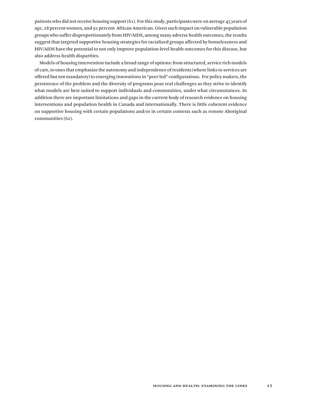patients who did not receive housing support (61). For this study, participants were on average 45 years of age, 28 percent women, and 91 percent African American. Given such impact on vulnerable population groups who suffer disproportionately from HIV/AIDS, among many adverse health outcomes, the results suggest that targeted supportive housing strategies for racialized groups affected by homelessness and HIV/AIDS have the potential to not only improve population-level health outcomes for this disease, but also address health disparities.

Models of housing intervention include a broad range of options: from structured, service rich models of care, to ones that emphasize the autonomy and independence of residents (where links to services are offered but not mandatory) to emerging innovations in "peer-led" configurations. For policy makers, the persistence of the problem and the diversity of programs pose real challenges as they strive to identify what models are best suited to support individuals and communities, under what circumstances. In addition there are important limitations and gaps in the current body of research evidence on housing interventions and population health in Canada and internationally. There is little coherent evidence on supportive housing with certain populations and/or in certain contexts such as remote Aboriginal communities (62).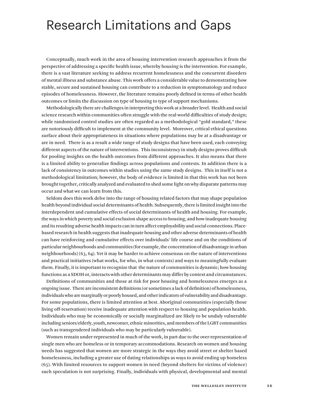# Research Limitations and Gaps

Conceptually, much work in the area of housing intervention research approaches it from the perspective of addressing a specific health issue, whereby housing is the intervention. For example, there is a vast literature seeking to address recurrent homelessness and the concurrent disorders of mental illness and substance abuse. This work offers a considerable value to demonstrating how stable, secure and sustained housing can contribute to a reduction in symptomatology and reduce episodes of homelessness. However, the literature remains poorly defined in terms of other health outcomes or limits the discussion on type of housing to type of support mechanisms.

Methodologically there are challenges in interpreting this work at a broader level. Health and social science research within communities often struggle with the real-world difficulties of study design; while randomized control studies are often regarded as a methodological "gold standard," these are notoriously difficult to implement at the community level. Moreover, critical ethical questions surface about their appropriateness in situations where populations may be at a disadvantage or are in need. There is as a result a wide range of study designs that have been used, each conveying different aspects of the nature of interventions. This inconsistency in study designs proves difficult for pooling insights on the health outcomes from different approaches. It also means that there is a limited ability to generalize findings across populations and contexts. In addition there is a lack of consistency in outcomes within studies using the same study designs. This in itself is not a methodological limitation; however, the body of evidence is limited in that this work has not been brought together, critically analyzed and evaluated to shed some light on why disparate patterns may occur and what we can learn from this.

Seldom does this work delve into the range of housing related factors that may shape population health beyond individual social determinants of health. Subsequently, there is limited insight into the interdependent and cumulative effects of social determinants of health and housing. For example, the ways in which poverty and social exclusion shape access to housing, and how inadequate housing and its resulting adverse health impacts can in turn affect employability and social connections. Placebased research in health suggests that inadequate housing and other adverse determinants of health can have reinforcing and cumulative effects over individuals' life course and on the conditions of particular neighbourhoods and communities (for example, the concentration of disadvantage in urban neighbourhoods) (63, 64). Yet it may be harder to achieve consensus on the nature of interventions and practical initiatives (what works, for who, in what contexts) and ways to meaningfully evaluate them. Finally, it is important to recognize that the nature of communities is dynamic; how housing functions as a SDOH or, interacts with other determinants may differ by context and circumstances.

Definitions of communities and those at risk for poor housing and homelessness emerges as a ongoing issue. There are inconsistent definitions (or sometimes a lack of definition) of homelessness, individuals who are marginally or poorly housed, and other indicators of vulnerability and disadvantage. For some populations, there is limited attention at best. Aboriginal communities (especially those living off-reservation) receive inadequate attention with respect to housing and population health. Individuals who may be economically or socially marginalized are likely to be unduly vulnerable including seniors/elderly, youth, newcomer, ethnic minorities, and members of the LGBT communities (such as transgendered individuals who may be particularly vulnerable).

Women remain under-represented in much of the work, in part due to the over-representation of single men who are homeless or in temporary accommodations. Research on women and housing needs has suggested that women are more strategic in the ways they avoid street or shelter based homelessness, including a greater use of dating relationships as ways to avoid ending up homeless (65). With limited resources to support women in need (beyond shelters for victims of violence) such speculation is not surprising. Finally, individuals with physical, developmental and mental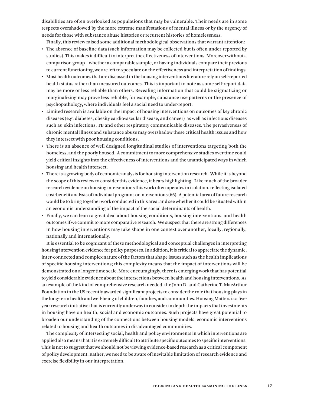disabilities are often overlooked as populations that may be vulnerable. Their needs are in some respects overshadowed by the more extreme manifestations of mental illness or by the urgency of needs for those with substance abuse histories or recurrent histories of homelessness.

Finally, this review raised some additional methodological observations that warrant attention:

- • The absence of baseline data (such information may be collected but is often under-reported by studies). This makes it difficult to interpret the effectiveness of interventions. Moreover without a comparison group – whether a comparable sample, or having individuals compare their previous to current functioning, we are left to speculate on the effectiveness and interpretation of findings.
- Most health outcomes that are discussed in the housing interventions literature rely on self-reported health status rather than measured outcomes. This is important to note as some self-report data may be more or less reliable than others. Revealing information that could be stigmatizing or marginalizing may prove less reliable, for example, substance use patterns or the presence of psychopathology, where individuals feel a social need to under-report.
- • Limited research is available on the impact of housing interventions on outcomes of key chronic diseases (e.g. diabetes, obesity cardiovascular disease, and cancer) as well as infectious diseases such as skin infections, TB and other respiratory communicable diseases. The pervasiveness of chronic mental illness and substance abuse may overshadow these critical health issues and how they intersect with poor housing conditions.
- • There is an absence of well designed longitudinal studies of interventions targeting both the homeless, and the poorly housed. A commitment to more comprehensive studies over time could yield critical insights into the effectiveness of interventions and the unanticipated ways in which housing and health intersect.
- • There is a growing body of economic analysis for housing intervention research. While itis beyond the scope of this review to consider this evidence, it bears highlighting. Like much of the broader research evidence on housing interventions this work often operates in isolation, reflecting isolated cost-benefit analysis of individual programs or interventions (66). A potential area of future research would be to bring together work conducted in this area, and see whether it could be situated within an economic understanding of the impact of the social determinants of health.
- • Finally, we can learn a great deal about housing conditions, housing interventions, and health outcomes if we commit to more comparative research. We suspect that there are strong differences in how housing interventions may take shape in one context over another, locally, regionally, nationally and internationally.

It is essential to be cognizant of these methodological and conceptual challenges in interpreting housing intervention evidence for policy purposes. In addition, it is critical to appreciate the dynamic, inter-connected and complex nature of the factors that shape issues such as the health implications of specific housing interventions; this complexity means that the impact of interventions will be demonstrated on a longer time scale. More encouragingly, there is emerging work that has potential to yield considerable evidence about the intersections between health and housing interventions. As an example of the kind of comprehensive research needed, the John D. and Catherine T. MacArthur Foundation in the US recently awarded significant projects to consider the role that housing plays in the long-term health and well-being of children, families, and communities. Housing Matters is a fiveyear research initiative that is currently underway to consider in depth the impacts that investments in housing have on health, social and economic outcomes. Such projects have great potential to broaden our understanding of the connections between housing models, economic interventions related to housing and health outcomes in disadvantaged communities.

The complexity of intersecting social, health and policy environments in which interventions are applied also means that it is extremely difficult to attribute specific outcomes to specific interventions. This is not to suggest that we should not be viewing evidence-based research as a critical component of policy development. Rather, we need to be aware of inevitable limitation of research evidence and exercise flexibility in our interpretation.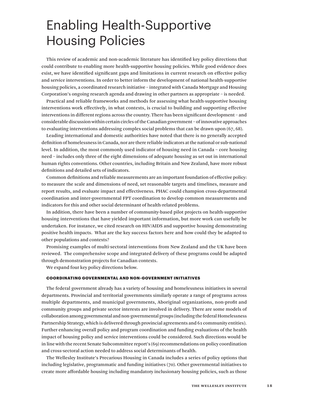# Enabling Health-Supportive Housing Policies

This review of academic and non-academic literature has identified key policy directions that could contribute to enabling more health-supportive housing policies. While good evidence does exist, we have identified significant gaps and limitations in current research on effective policy and service interventions. In order to better inform the development of national health-supportive housing policies, a coordinated research initiative – integrated with Canada Mortgage and Housing Corporation's ongoing research agenda and drawing in other partners as appropriate – is needed.

Practical and reliable frameworks and methods for assessing what health-supportive housing interventions work effectively, in what contexts, is crucial to building and supporting effective interventions in different regions across the country. There has been significant development – and considerable discussion within certain circles of the Canadian government – of innovative approaches to evaluating interventions addressing complex social problems that can be drawn upon (67, 68).

Leading international and domestic authorities have noted that there is no generally accepted definition of homelessness in Canada, nor are there reliable indicators at the national or sub-national level. In addition, the most commonly used indicator of housing need in Canada – core housing need – includes only three of the eight dimensions of adequate housing as set out in international human rights conventions. Other countries, including Britain and New Zealand, have more robust definitions and detailed sets of indicators.

Common definitions and reliable measurements are an important foundation of effective policy: to measure the scale and dimensions of need, set reasonable targets and timelines, measure and report results, and evaluate impact and effectiveness. PHAC could champion cross-departmental coordination and inter-governmental FPT coordination to develop common measurements and indicators for this and other social determinant of health-related problems.

In addition, there have been a number of community-based pilot projects on health-supportive housing interventions that have yielded important information, but more work can usefully be undertaken. For instance, we cited research on HIV/AIDS and supportive housing demonstrating positive health impacts. What are the key success factors here and how could they be adapted to other populations and contexts?

Promising examples of multi-sectoral interventions from New Zealand and the UK have been reviewed. The comprehensive scope and integrated delivery of these programs could be adapted through demonstration projects for Canadian contexts.

We expand four key policy directions below.

### COORDINATING GOVERNMENTAL AND NON-GOVERNMENT INITIATIVES

The federal government already has a variety of housing and homelessness initiatives in several departments. Provincial and territorial governments similarly operate a range of programs across multiple departments, and municipal governments, Aboriginal organizations, non-profit and community groups and private sector interests are involved in delivery. There are some models of collaboration among governmental and non-governmental groups (including the federal Homelessness Partnership Strategy, which is delivered through provincial agreements and 61 community entities). Further enhancing overall policy and program coordination and funding evaluations of the health impact of housing policy and service interventions could be considered. Such directions would be in line with the recent Senate Subcommittee report's (69) recommendations on policy coordination and cross-sectoral action needed to address social determinants of health.

The Wellesley Institute's Precarious Housing in Canada includes a series of policy options that including legislative, programmatic and funding initiatives (70). Other governmental initiatives to create more affordable housing including mandatory inclusionary housing policies, such as those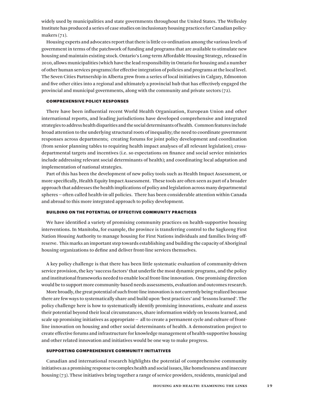widely used by municipalities and state governments throughout the United States. The Wellesley Institute has produced a series of case studies on inclusionary housing practices for Canadian policymakers (71).

Housing experts and advocates report that there is little co-ordination among the various levels of government in terms of the patchwork of funding and programs that are available to stimulate new housing and maintain existing stock. Ontario's Long-term Affordable Housing Strategy, released in 2010, allows municipalities (which have the lead responsibility in Ontario for housing and a number of other human services programs) for effective integration of policies and programs at the local level. The Seven Cities Partnership in Alberta grew from a series of local initiatives in Calgary, Edmonton and five other cities into a regional and ultimately a provincial hub that has effectively engaged the provincial and municipal governments, along with the community and private sectors (72).

# COMPREHENSIVE POLICY RESPONSES

There have been influential recent World Health Organization, European Union and other international reports, and leading jurisdictions have developed comprehensive and integrated strategies to address health disparities and the social determinants of health. Common features include broad attention to the underlying structural roots of inequality; the need to coordinate government responses across departments; creating forums for joint policy development and coordination (from senior planning tables to requiring health impact analyses of all relevant legislation); crossdepartmental targets and incentives (i.e. so expectations on finance and social service ministries include addressing relevant social determinants of health); and coordinating local adaptation and implementation of national strategies.

Part of this has been the development of new policy tools such as Health Impact Assessment, or more specifically, Health Equity Impact Assessment. These tools are often seen as part of a broader approach that addresses the health implications of policy and legislation across many departmental spheres -- often called health-in-all policies. There has been considerable attention within Canada and abroad to this more integrated approach to policy development.

# BUILDING ON THE POTENTIAL OF EFFECTIVE COMMUNITY PRACTICES

We have identified a variety of promising community practices on health-supportive housing interventions. In Manitoba, for example, the province is transferring control to the Sagkeeng First Nation Housing Authority to manage housing for First Nations individuals and families living offreserve. This marks an important step towards establishing and building the capacity of Aboriginal housing organizations to define and deliver front-line services themselves.

A key policy challenge is that there has been little systematic evaluation of community-driven service provision, the key 'success factors' that underlie the most dynamic programs, and the policy and institutional frameworks needed to enable local front-line innovation. One promising direction would be to support more community-based needs assessments, evaluation and outcomes research.

More broadly, the great potential of such front-line innovation is not currently being realized because there are few ways to systematically share and build upon 'best practices' and 'lessons learned'. The policy challenge here is how to systematically identify promising innovations, evaluate and assess their potential beyond their local circumstances, share information widely on lessons learned, and scale up promising initiatives as appropriate -- all to create a permanent cycle and culture of frontline innovation on housing and other social determinants of health. A demonstration project to create effective forums and infrastructure for knowledge management of health-supportive housing and other related innovation and initiatives would be one way to make progress.

# SUPPORTING COMPREHENSIVE COMMUNITY INITIATIVES

Canadian and international research highlights the potential of comprehensive community initiatives as a promising response to complex health and social issues, like homelessness and insecure housing (73). These initiatives bring together a range of service providers, residents, municipal and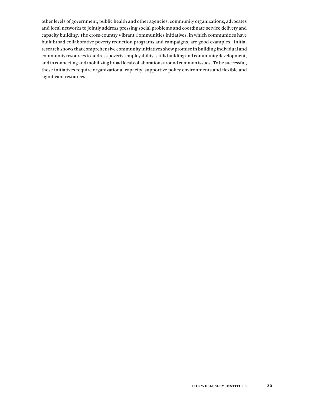other levels of government, public health and other agencies, community organizations, advocates and local networks to jointly address pressing social problems and coordinate service delivery and capacity building. The cross-country Vibrant Communities initiatives, in which communities have built broad collaborative poverty reduction programs and campaigns, are good examples. Initial research shows that comprehensive community initiatives show promise in building individual and community resources to address poverty, employability, skills building and community development, and in connecting and mobilizing broad local collaborations around common issues. To be successful, these initiatives require organizational capacity, supportive policy environments and flexible and significant resources.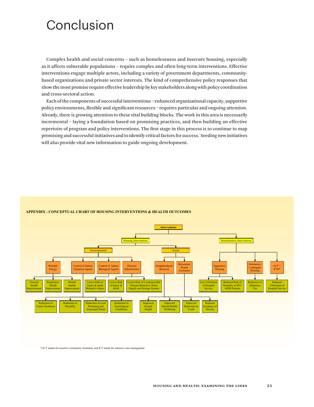# Conclusion

Complex health and social concerns – such as homelessness and insecure housing, especially as it affects vulnerable populations – require complex and often long-term interventions. Effective interventions engage multiple actors, including a variety of government departments, communitybased organizations and private sector interests. The kind of comprehensive policy responses that show the most promise require effective leadership by key stakeholders along with policy coordination and cross-sectoral action.

Each of the components of successful interventions – enhanced organizational capacity, supportive policy environments, flexible and significant resources – requires particular and ongoing attention. Already, there is growing attention to these vital building blocks. The work in this area is necessarily incremental – laying a foundation based on promising practices, and then building an effective repertoire of program and policy interventions. The first stage in this process is to continue to map promising and successful initiatives and to identify critical factors for success. Seeding new initiatives will also provide vital new information to guide ongoing development.



# **APPENDIX : CONCEPTUAL CHART OF HOUSING INTERVENTIONS & HEALTH OUTCOMES**

\*ACT stands for assertive community treatment, and ICT stands for intensive case management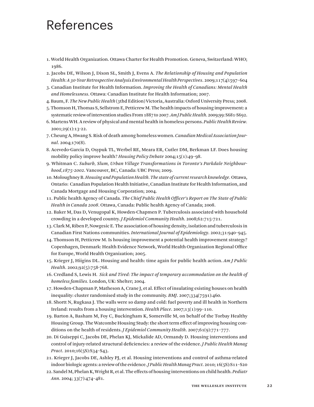# References

- 1. World Health Organization. Ottawa Charter for Health Promotion. Geneva, Switzerland: WHO; 1986.
- 2. Jacobs DE, Wilson J, Dixon SL, Smith J, Evens A. *The Relationship of Housing and Population Health: A 30-Year Retrospective Analysis Environmental Health Perspectives*. 2009;117(4):597–604
- 3. Canadian Institute for Health Information. *Improving the Health of Canadians: Mental Health and Homelessness*. Ottawa: Canadian Institute for Health Information; 2007.
- 4. Baum, F. *The New Public Health* (3thd Edition) Victoria, Australia: Oxford University Press; 2008.
- 5. Thomson H, Thomas S, Sellstrom E, Petticrew M. The health impacts of housing improvement: a systematic review of intervention studies From 1887 to 2007. *Am J Public Health*. 2009;99: S681-S692.
- 6. Martens WH. A review of physical and mental health in homeless persons. *Public Health Review.*  2001;29(1):13-22.
- 7. Cheung A, Hwang S. Risk of death among homeless women. *Canadian Medical Association Journal*. 2004;170(8).
- 8. Acevedo-Garcia D, Osypuk TL, Werbel RE, Meara ER, Cutler DM, Berkman LF. Does housing mobility policy improve health? *Housing Policy Debate* 2004;15(1):49–98.
- 9. Whitman C. *Suburb, Slum, Urban Village Transformations in Toronto's Parkdale Neighbourhood,1875-2002*. Vancouver, BC, Canada: UBC Press; 2009.
- 10. Moloughney B. *Housing and Population Health. The state of current research knowledge.* Ottawa, Ontario: Canadian Population Health Initiative, Canadian Institute for Health Information, and Canada Mortgage and Housing Corporation; 2004.
- 11. Public health Agency of Canada. *The Chief Public Health Officer's Report on The State of Public Health in Canada 2008*. Ottawa, Canada: Public health Agency of Canada; 2008.
- 12. Baker M, Das D, Venugopal K, Howden-Chapmen P. Tuberculosis associated with household crowding in a developed country. *J Epidemiol Community Health*. 2008;62:715-721.
- 13. Clark M, Riben P, Nowgesic E. The association of housing density, isolation and tuberculosis in Canadian First Nations communities. *International Journal of Epidemiology*. 2002;31:940–945.
- 14. Thomson H, Petticrew M. Is housing improvement a potential health improvement strategy? Copenhagen, Denmark: Health Evidence Network, World Health Organization Regional Office for Europe, World Health Organization; 2005.
- 15. Krieger J, Hiigins DL. Housing and health: time again for public health action. *Am J Public Health*. 2002;92(5):758-768.
- 16. Credland S, Lewis H. *Sick and Tired: The impact of temporary accommodation on the health of homeless families.* London, UK: Shelter; 2004.
- 17. Howden-Chapman P, Matheson A, Crane J, et al. Effect of insulating existing houses on health inequality: cluster randomised study in the community. *BMJ*. 2007;334(7591):460.
- 18. Shortt N, Rugkasa J. The walls were so damp and cold: fuel poverty and ill health in Northern Ireland: results from a housing intervention. *Health Place*. 2007;13(1):99–110.
- 19. Barton A, Basham M, Foy C, Buckingham K, Somerville M, on behalf of the Torbay Healthy Housing Group. The Watcombe Housing Study: the short term effect of improving housing conditions on the health of residents. *J Epidemiol Community Health*. 2007;61(9):771–777.
- 20. Di Guiseppi C, Jacobs DE, Phelan KJ, Mickalide AD, Ormandy D. Housing interventions and control of injury-related structural deficiencies: a review of the evidence. *J Public Health Manag Pract*. 2010;16(5S):S34–S43.
- 21. Krieger J, Jacobs DE, Ashley PJ, et al. Housing interventions and control of asthma-related indoor biologic agents: a review of the evidence. *J Public Health Manag Pract*. 2010; 16(5S):S11–S20
- 22. Sandel M, Phelan K, Wright R, et al. The effects of housing interventions on child health. *Pediatr Ann*. 2004; 33(7):474–481.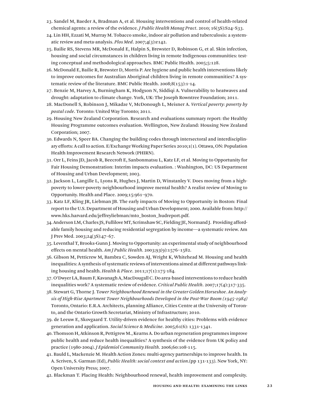- 23. Sandel M, Baeder A, Bradman A, et al. Housing interventions and control of health-related chemical agents: a review of the evidence. *J Public Health Manag Pract*. 2010; 16(5S):S24–S33.
- 24. Lin HH, Ezzati M, Murray M. Tobacco smoke, indoor air pollution and tuberculosis: a systematic review and meta-analysis. *Plos Med*. 2007;4(3):e142.
- 25. Bailie RS, Stevens MR, McDonald E, Halpin S, Brewster D, Robinson G, et al. Skin infection, housing and social circumstances in children living in remote Indigenous communities: testing conceptual and methodological approaches. BMC Public Health. 2005;5:128.
- 26. McDonald E, Bailie R, Brewster D, Morris P. Are hygiene and public health interventions likely to improve outcomes for Australian Aboriginal children living in remote communities? A systematic review of the literature. BMC Public Health. 2008;8(153):1-14.
- 27. Benzie M, Harvey A, Burningham K, Hodgson N, Siddiqi A. Vulnerability to heatwaves and drought: adaptation to climate change. York, UK: The Joseph Rowntree Foundation; 2011.
- 28. MacDonell S, Robinson J, Mikadze V, McDonough L, Meisner A. *Vertical poverty: poverty by postal code*. Toronto: United Way Toronto; 2011.
- 29. Housing New Zealand Corporation. Research and evaluations summary report: the Healthy Housing Programme outcomes evaluation. Wellington, New Zealand: Housing New Zealand Corporation; 2007.
- 30. Edwards N, Speer BA. Changing the building codes through intersectoral and interdisciplinary efforts: A call to action. E/Exchange Working Paper Series 2010;1(1). Ottawa, ON: Population Health Improvement Research Network (PHIRN).
- 31. Orr L, Feins JD, Jacob R, Beecroft E, Sanbonmatsu L, Katz LF, et al. Moving to Opportunity for Fair Housing Demonstration: Interim impacts evaluation. : Washington, DC: US Department of Housing and Urban Development; 2003.
- 32. Jackson L, Langille L, Lyons R, Hughes J, Martin D, Winstanley V. Does moving from a highpoverty to lower-poverty neighbourhood improve mental health? A realist review of Moving to Opportunity. Health and Place. 2009;15:961–970.
- 33. Katz LF, Kling JR, Liebman JB. The early impacts of Moving to Opportunity in Boston: Final report to the U.S. Department of Housing and Urban Development; 2000. Available from: http:// www.hks.harvard.edu/jeffreyliebman/mto\_boston\_hudreport.pdf.
- 34. Anderson LM, Charles JS, Fullilove MT, Scrimshaw SC, Fielding JE, Normand J. Providing affordable family housing and reducing residential segregation by income—a systematic review. Am J Prev Med. 2003;24(3S):47–67.
- 35. Leventhal T, Brooks-Gunn J. Moving to Opportunity: an experimental study of neighbourhood effects on mental health. *Am J Public Health*. 2003;93(9):1576–1582.
- 36. Gibson M, Petticrew M, Bambra C, Sowden AJ, Wright K, Whitehead M. Housing and health inequalities: A synthesis of systematic reviews of interventions aimed at different pathways linking housing and health. *Health & Place*. 2011;17(1):175-184.
- 37. O'Dwyer LA, Baum F, Kavanagh A, MacDougall C. Do area-based interventions to reduce health inequalities work? A systematic review of evidence. *Critical Public Health*. 2007;17(4):317-335.
- 38. Stewart G, Thorne J. T*ower Neighbourhood Renewal in the Greater Golden Horseshoe. An Analysis of High-Rise Apartment Tower Neighbourhoods Developed in the Post-War Boom (1945-1984)*  Toronto, Ontario: E.R.A. Architects, planning Alliance, Cities Centre at the University of Toronto, and the Ontario Growth Secretariat, Ministry of Infrastructure; 2010.
- 39. de Leeuw E, Skovgaard T. Utility-driven evidence for healthy cities: Problems with evidence generation and application. *Social Science & Medicine*. 2005;61(6): 1331-1341.
- 40. Thomson H, Atkinson R, Pettigrew M., Kearns A. Do urban regeneration programmes improve public health and reduce health inequalities? A synthesis of the evidence from UK policy and practice (1980-2004). *J Epidemiol Community Health*. 2006;60:108-115.
- 41. Bauld L, Mackenzie M. Health Action Zones: multi-agency partnerships to improve health. In A. Scriven, S. Garman (Ed), *Public Health: social context and action*.(pp 131-133). New York, NY: Open University Press; 2007.
- 42. Blackman T. Placing Health: Neighbourhood renewal, health improvement and complexity.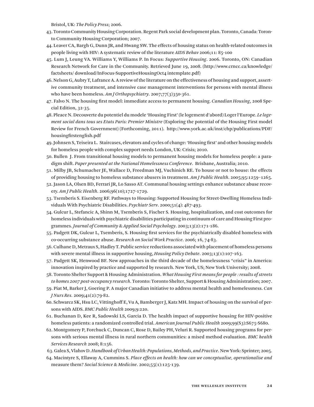Bristol, UK: *The Policy Press*; 2006.

- 43. Toronto Community Housing Corporation. Regent Park social development plan. Toronto, Canada: Toronto Community Housing Corporation; 2007.
- 44. Leaver CA, Bargh G, Dunn JR, and Hwang SW. The effects of housing status on health-related outcomes in people living with HIV: A systematic review of the literature *AIDS Behav* 2006;11: 85-100
- 45. Lum J, Leung VA. Williams Y, Williams P. In Focus: *Supportive Housing*. 2006. Toronto, ON: Canadian Research Network for Care in the Community. Retrieved June 19, 2008. (http://www.crncc.ca/knowledge/ factsheets/download/InFocus-SupportiveHousingOct4 intemplate.pdf)
- 46. Nelson G, Aubry T, Lafrance A. A review of the literature on the effectiveness of housing and support, assertive community treatment, and intensive case management interventions for persons with mental illness who have been homeless. *Am J Orthopsychiatry*. 2007;77(3)350-361.
- 47. Falvo N. The housing first model: immediate access to permanent housing. *Canadian Housing*, 2008 Special Edition, 32-35.
- 48. Pleace N. Decouverte du potentiel du modele 'Housing First' (le logement d'abord) Loger l'Europe. *Le logement social dans tous ses Etats Paris: Premier Ministre* (Exploring the potential of the Housing First model Review for French Government) (Forthcoming, 2011). http://www.york.ac.uk/inst/chp/publications/PDF/ housingfirstenglish.pdf
- 49. Johnsen S, Teixeira L. Staircases, elevators and cycles of change: 'Housing first' and other housing models for homeless people with complex support needs London, UK: Crisis; 2010.
- 50. Bullen J. From transitional housing models to permanent housing models for homeless people: a paradigm shift. *Paper presented at the National Homelessness Conference*. Brisbane, Australia; 2010.
- 51. Milby JB, Schumacher JE, Wallace D, Freedman MJ, Vuchinich RE. To house or not to house: the effects of providing housing to homeless substance abusers in treatment. *Am J Public Health*. 2005;95:1259–1265.
- 52. Jason LA, Olsen BD, Ferrari JR, Lo Sasso AT. Communal housing settings enhance substance abuse recovery. *Am J Public Health*. 2006;96(10);1727-1729.
- 53. Tsemberis S. Eisenberg RF. Pathways to Housing: Supported Housing for Street-Dwelling Homeless Individuals With Psychiatric Disabilities. *Psychiatr Serv*. 2000;51(4): 487-493.
- 54. Gulcur L, Stefancic A, Shinn M, Tsemberis S, Fischer S. Housing, hospitalization, and cost outcomes for homeless individuals with psychiatric disabilities participating in continuum of care and Housing First programmes. *Journal of Community & Applied Social Psychology*. 2003;13(2):171-186.
- 55. Padgett DK, Gulcur L, Tsemberis, S. Housing first services for the psychiatrically disabled homeless with co-occurring substance abuse. *Research on Social Work Practice*. 2006; 16, 74-83.
- 56. Culhane D, Metraux S, Hadley T. Public service reductions associated with placement of homeless persons with severe mental illness in supportive housing, *Housing Policy Debate*. 2003;13(1):107-163.
- 57. Padgett SK, Henwood BF. New approaches in the third decade of the homelessness "crisis" in America: innovation inspired by practice and supported by research. New York, US; New York University; 2008.
- 58. Toronto Shelter Support & Housing Administration. *What Housing First means for people : results of streets to homes 2007 post-occupancy research*. Toronto: Toronto Shelter, Support & Housing Administration; 2007.
- 59. Piat M, Barker J, Goering P. A major Canadian initiative to address mental health and homelessness. *Can J Nurs Res.* 2009;41(2):79-82.
- 60. Schwarcz SK, Hsu LC, Vittinghoff E, Vu A, Bamberger J, Katz MH. Impact of housing on the survival of persons with AIDS. *BMC Public Health* 2009;9:220.
- 61. Buchanan D, Kee R, Sadowski LS, Garcia D. The health impact of supportive housing for HIV-positive homeless patients: a randomized controlled trial. *American Journal Public Health* 2009;99(S3):S675-S680.
- 62. Montgomery P, Forchuck C, Duncan C, Rose D, Bailey PH, Veluri R. Supported housing programs for persons with serious mental illness in rural northern communities: a mixed method evaluation. *BMC health Services Research* 2008; 8:156.
- 63. Galea S, Vlahov D. *Handbook of Urban Health: Populations, Methods, and Practice*. New York: Sprinter; 2005.
- 64. Macintyre S, Ellaway A, Cummins S. *Place effects on health: how can we conceptualise, operationalise and*  measure them? *Social Science & Medicine*. 2002;55(1):125-139.